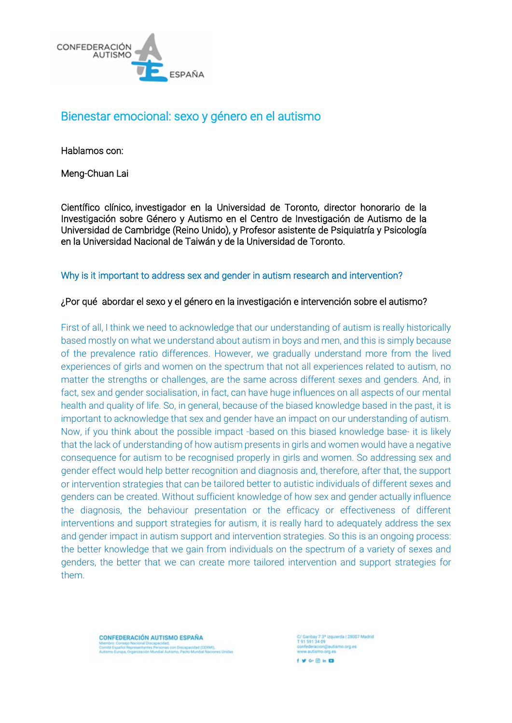

# Bienestar emocional: sexo y género en el autismo

Hablamos con:

Meng-Chuan Lai

Científico clínico, investigador en la Universidad de Toronto, director honorario de la Investigación sobre Género y Autismo en el Centro de Investigación de Autismo de la Universidad de Cambridge (Reino Unido), y Profesor asistente de Psiquiatría y Psicología en la Universidad Nacional de Taiwán y de la Universidad de Toronto.

Why is it important to address sex and gender in autism research and intervention?

### ¿Por qué abordar el sexo y el género en la investigación e intervención sobre el autismo?

First of all, I think we need to acknowledge that our understanding of autism is really historically based mostly on what we understand about autism in boys and men, and this is simply because of the prevalence ratio differences. However, we gradually understand more from the lived experiences of girls and women on the spectrum that not all experiences related to autism, no matter the strengths or challenges, are the same across different sexes and genders. And, in fact, sex and gender socialisation, in fact, can have huge influences on all aspects of our mental health and quality of life. So, in general, because of the biased knowledge based in the past, it is important to acknowledge that sex and gender have an impact on our understanding of autism. Now, if you think about the possible impact -based on this biased knowledge base- it is likely that the lack of understanding of how autism presents in girls and women would have a negative consequence for autism to be recognised properly in girls and women. So addressing sex and gender effect would help better recognition and diagnosis and, therefore, after that, the support or intervention strategies that can be tailored better to autistic individuals of different sexes and genders can be created. Without sufficient knowledge of how sex and gender actually influence the diagnosis, the behaviour presentation or the efficacy or effectiveness of different interventions and support strategies for autism, it is really hard to adequately address the sex and gender impact in autism support and intervention strategies. So this is an ongoing process: the better knowledge that we gain from individuals on the spectrum of a variety of sexes and genders, the better that we can create more tailored intervention and support strategies for them.

**CONFEDERACIÓN AUTISMO ESPAÑA** .<br>http://www.facebook.com/anders.com/anders.com/2013/2013<br>http://www.facebook.com/anders.com/anders.com/anders.com/

:/ Garibay 7 3° izquierda | 28007 Madrid<br>! 91 591 34 09 federacion@autismo.org.es ww.autismo.org.es  $f \vee \cdots \otimes h$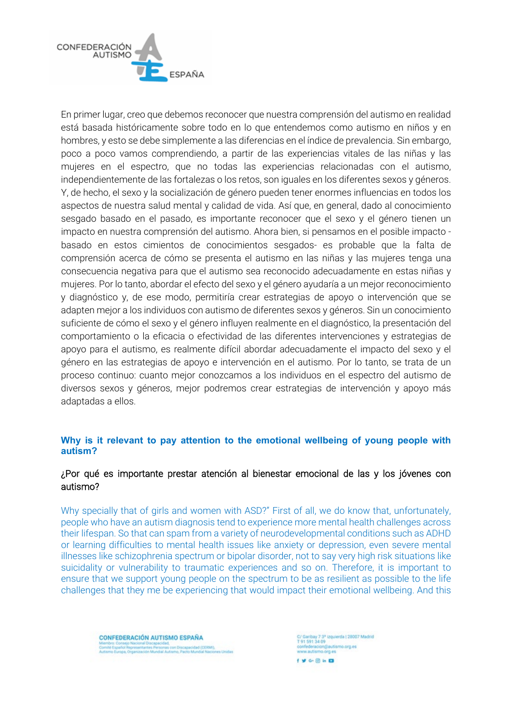

En primer lugar, creo que debemos reconocer que nuestra comprensión del autismo en realidad está basada históricamente sobre todo en lo que entendemos como autismo en niños y en hombres, y esto se debe simplemente a las diferencias en el índice de prevalencia. Sin embargo, poco a poco vamos comprendiendo, a partir de las experiencias vitales de las niñas y las mujeres en el espectro, que no todas las experiencias relacionadas con el autismo, independientemente de las fortalezas o los retos, son iguales en los diferentes sexos y géneros. Y, de hecho, el sexo y la socialización de género pueden tener enormes influencias en todos los aspectos de nuestra salud mental y calidad de vida. Así que, en general, dado al conocimiento sesgado basado en el pasado, es importante reconocer que el sexo y el género tienen un impacto en nuestra comprensión del autismo. Ahora bien, si pensamos en el posible impacto basado en estos cimientos de conocimientos sesgados- es probable que la falta de comprensión acerca de cómo se presenta el autismo en las niñas y las mujeres tenga una consecuencia negativa para que el autismo sea reconocido adecuadamente en estas niñas y mujeres. Por lo tanto, abordar el efecto del sexo y el género ayudaría a un mejor reconocimiento y diagnóstico y, de ese modo, permitiría crear estrategias de apoyo o intervención que se adapten mejor a los individuos con autismo de diferentes sexos y géneros. Sin un conocimiento suficiente de cómo el sexo y el género influyen realmente en el diagnóstico, la presentación del comportamiento o la eficacia o efectividad de las diferentes intervenciones y estrategias de apoyo para el autismo, es realmente difícil abordar adecuadamente el impacto del sexo y el género en las estrategias de apoyo e intervención en el autismo. Por lo tanto, se trata de un proceso continuo: cuanto mejor conozcamos a los individuos en el espectro del autismo de diversos sexos y géneros, mejor podremos crear estrategias de intervención y apoyo más adaptadas a ellos.

### **Why is it relevant to pay attention to the emotional wellbeing of young people with autism?**

### ¿Por qué es importante prestar atención al bienestar emocional de las y los jóvenes con autismo?

Why specially that of girls and women with ASD?" First of all, we do know that, unfortunately, people who have an autism diagnosis tend to experience more mental health challenges across their lifespan. So that can spam from a variety of neurodevelopmental conditions such as ADHD or learning difficulties to mental health issues like anxiety or depression, even severe mental illnesses like schizophrenia spectrum or bipolar disorder, not to say very high risk situations like suicidality or vulnerability to traumatic experiences and so on. Therefore, it is important to ensure that we support young people on the spectrum to be as resilient as possible to the life challenges that they me be experiencing that would impact their emotional wellbeing. And this

**CONFEDERACIÓN AUTISMO ESPAÑA** mité Español Representantes Personas con Discapacidad (CERM).<br>tiemo Europa, Organización Mundial Autismo, Pacto Mundial Nacio

:/ Garibay 7 3° izquierda | 28007 Madrid<br>! 91 591 34 09 confederacion@autismo.org.es<br>www.autismo.org.es  $f \vee \cdots \otimes h$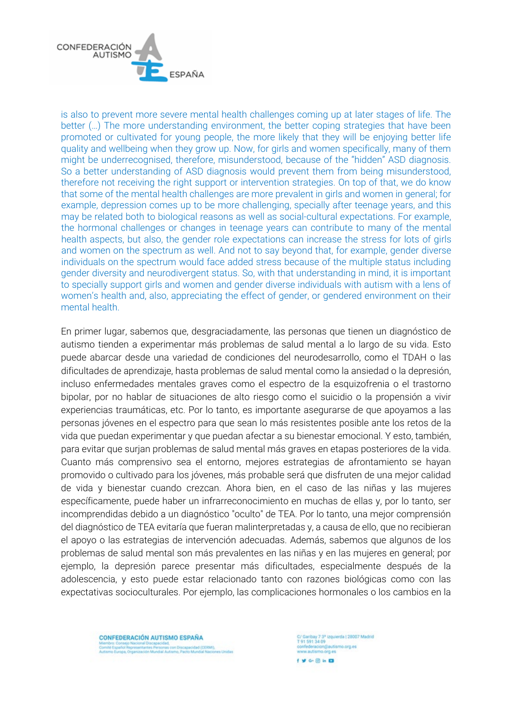

is also to prevent more severe mental health challenges coming up at later stages of life. The better (…) The more understanding environment, the better coping strategies that have been promoted or cultivated for young people, the more likely that they will be enjoying better life quality and wellbeing when they grow up. Now, for girls and women specifically, many of them might be underrecognised, therefore, misunderstood, because of the "hidden" ASD diagnosis. So a better understanding of ASD diagnosis would prevent them from being misunderstood, therefore not receiving the right support or intervention strategies. On top of that, we do know that some of the mental health challenges are more prevalent in girls and women in general; for example, depression comes up to be more challenging, specially after teenage years, and this may be related both to biological reasons as well as social-cultural expectations. For example, the hormonal challenges or changes in teenage years can contribute to many of the mental health aspects, but also, the gender role expectations can increase the stress for lots of girls and women on the spectrum as well. And not to say beyond that, for example, gender diverse individuals on the spectrum would face added stress because of the multiple status including gender diversity and neurodivergent status. So, with that understanding in mind, it is important to specially support girls and women and gender diverse individuals with autism with a lens of women's health and, also, appreciating the effect of gender, or gendered environment on their mental health.

En primer lugar, sabemos que, desgraciadamente, las personas que tienen un diagnóstico de autismo tienden a experimentar más problemas de salud mental a lo largo de su vida. Esto puede abarcar desde una variedad de condiciones del neurodesarrollo, como el TDAH o las dificultades de aprendizaje, hasta problemas de salud mental como la ansiedad o la depresión, incluso enfermedades mentales graves como el espectro de la esquizofrenia o el trastorno bipolar, por no hablar de situaciones de alto riesgo como el suicidio o la propensión a vivir experiencias traumáticas, etc. Por lo tanto, es importante asegurarse de que apoyamos a las personas jóvenes en el espectro para que sean lo más resistentes posible ante los retos de la vida que puedan experimentar y que puedan afectar a su bienestar emocional. Y esto, también, para evitar que surjan problemas de salud mental más graves en etapas posteriores de la vida. Cuanto más comprensivo sea el entorno, mejores estrategias de afrontamiento se hayan promovido o cultivado para los jóvenes, más probable será que disfruten de una mejor calidad de vida y bienestar cuando crezcan. Ahora bien, en el caso de las niñas y las mujeres específicamente, puede haber un infrarreconocimiento en muchas de ellas y, por lo tanto, ser incomprendidas debido a un diagnóstico "oculto" de TEA. Por lo tanto, una mejor comprensión del diagnóstico de TEA evitaría que fueran malinterpretadas y, a causa de ello, que no recibieran el apoyo o las estrategias de intervención adecuadas. Además, sabemos que algunos de los problemas de salud mental son más prevalentes en las niñas y en las mujeres en general; por ejemplo, la depresión parece presentar más dificultades, especialmente después de la adolescencia, y esto puede estar relacionado tanto con razones biológicas como con las expectativas socioculturales. Por ejemplo, las complicaciones hormonales o los cambios en la

**CONFEDERACIÓN AUTISMO ESPAÑA** ité Español Representantes Personas con Discapacidad (CERM)<br>smo Europa, Organización Mundial Autismo, Pacto Mundial Naci

:/ Garibay 7.3° izquierda | 28007 Madrid<br>! 91.591.34.09 federacion@autismo.org.es www.autismo.org.es  $f \vee \cdots \otimes h$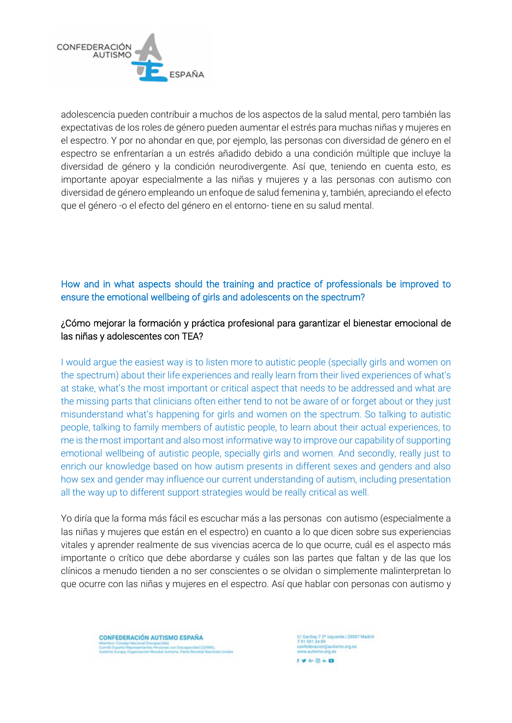

adolescencia pueden contribuir a muchos de los aspectos de la salud mental, pero también las expectativas de los roles de género pueden aumentar el estrés para muchas niñas y mujeres en el espectro. Y por no ahondar en que, por ejemplo, las personas con diversidad de género en el espectro se enfrentarían a un estrés añadido debido a una condición múltiple que incluye la diversidad de género y la condición neurodivergente. Así que, teniendo en cuenta esto, es importante apoyar especialmente a las niñas y mujeres y a las personas con autismo con diversidad de género empleando un enfoque de salud femenina y, también, apreciando el efecto que el género -o el efecto del género en el entorno- tiene en su salud mental.

# How and in what aspects should the training and practice of professionals be improved to ensure the emotional wellbeing of girls and adolescents on the spectrum?

## ¿Cómo mejorar la formación y práctica profesional para garantizar el bienestar emocional de las niñas y adolescentes con TEA?

I would argue the easiest way is to listen more to autistic people (specially girls and women on the spectrum) about their life experiences and really learn from their lived experiences of what's at stake, what's the most important or critical aspect that needs to be addressed and what are the missing parts that clinicians often either tend to not be aware of or forget about or they just misunderstand what's happening for girls and women on the spectrum. So talking to autistic people, talking to family members of autistic people, to learn about their actual experiences, to me is the most important and also most informative way to improve our capability of supporting emotional wellbeing of autistic people, specially girls and women. And secondly, really just to enrich our knowledge based on how autism presents in different sexes and genders and also how sex and gender may influence our current understanding of autism, including presentation all the way up to different support strategies would be really critical as well.

Yo diría que la forma más fácil es escuchar más a las personas con autismo (especialmente a las niñas y mujeres que están en el espectro) en cuanto a lo que dicen sobre sus experiencias vitales y aprender realmente de sus vivencias acerca de lo que ocurre, cuál es el aspecto más importante o crítico que debe abordarse y cuáles son las partes que faltan y de las que los clínicos a menudo tienden a no ser conscientes o se olvidan o simplemente malinterpretan lo que ocurre con las niñas y mujeres en el espectro. Así que hablar con personas con autismo y

**CONFEDERACIÓN AUTISMO ESPAÑA** ité Español Representantes Personas con Discapacidad (CERM).<br>Imo Europa, Organización Mundial Autismo, Pacto Mundial Nacio

:/ Garibay 7 3° izquierda | 28007 Madrid<br>! 91 591 34 09 eracion@autismo.org.es w autismo orn es  $f \vee \cdots \otimes h$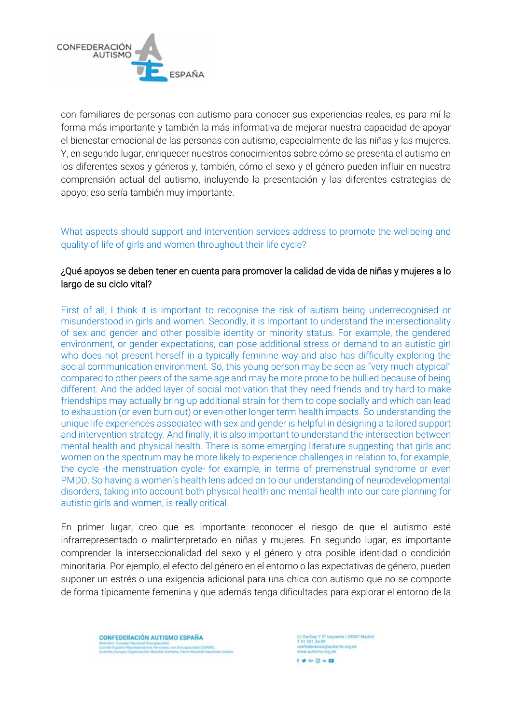

con familiares de personas con autismo para conocer sus experiencias reales, es para mí la forma más importante y también la más informativa de mejorar nuestra capacidad de apoyar el bienestar emocional de las personas con autismo, especialmente de las niñas y las mujeres. Y, en segundo lugar, enriquecer nuestros conocimientos sobre cómo se presenta el autismo en los diferentes sexos y géneros y, también, cómo el sexo y el género pueden influir en nuestra comprensión actual del autismo, incluyendo la presentación y las diferentes estrategias de apoyo; eso sería también muy importante.

What aspects should support and intervention services address to promote the wellbeing and quality of life of girls and women throughout their life cycle?

### ¿Qué apoyos se deben tener en cuenta para promover la calidad de vida de niñas y mujeres a lo largo de su ciclo vital?

First of all, I think it is important to recognise the risk of autism being underrecognised or misunderstood in girls and women. Secondly, it is important to understand the intersectionality of sex and gender and other possible identity or minority status. For example, the gendered environment, or gender expectations, can pose additional stress or demand to an autistic girl who does not present herself in a typically feminine way and also has difficulty exploring the social communication environment. So, this young person may be seen as "very much atypical" compared to other peers of the same age and may be more prone to be bullied because of being different. And the added layer of social motivation that they need friends and try hard to make friendships may actually bring up additional strain for them to cope socially and which can lead to exhaustion (or even burn out) or even other longer term health impacts. So understanding the unique life experiences associated with sex and gender is helpful in designing a tailored support and intervention strategy. And finally, it is also important to understand the intersection between mental health and physical health. There is some emerging literature suggesting that girls and women on the spectrum may be more likely to experience challenges in relation to, for example, the cycle -the menstruation cycle- for example, in terms of premenstrual syndrome or even PMDD. So having a women's health lens added on to our understanding of neurodevelopmental disorders, taking into account both physical health and mental health into our care planning for autistic girls and women, is really critical.

En primer lugar, creo que es importante reconocer el riesgo de que el autismo esté infrarrepresentado o malinterpretado en niñas y mujeres. En segundo lugar, es importante comprender la interseccionalidad del sexo y el género y otra posible identidad o condición minoritaria. Por ejemplo, el efecto del género en el entorno o las expectativas de género, pueden suponer un estrés o una exigencia adicional para una chica con autismo que no se comporte de forma típicamente femenina y que además tenga dificultades para explorar el entorno de la

**CONFEDERACIÓN AUTISMO ESPAÑA** mité Español Representantes Personas con Discapacidad (CERM).<br>Ismo Europa, Organización Mundial Autismo, Pacto Mundial Nacio

:/ Garibay 7.3° izquierda | 28007 Madrid<br>! 91.591.34.09 confederacion@autismo.org.es<br>www.autismo.org.es  $f \vee \cdots \otimes h$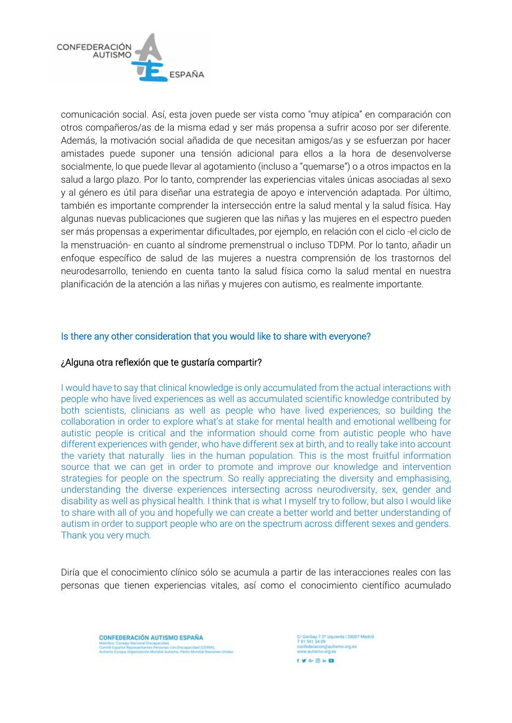

comunicación social. Así, esta joven puede ser vista como "muy atípica" en comparación con otros compañeros/as de la misma edad y ser más propensa a sufrir acoso por ser diferente. Además, la motivación social añadida de que necesitan amigos/as y se esfuerzan por hacer amistades puede suponer una tensión adicional para ellos a la hora de desenvolverse socialmente, lo que puede llevar al agotamiento (incluso a "quemarse") o a otros impactos en la salud a largo plazo. Por lo tanto, comprender las experiencias vitales únicas asociadas al sexo y al género es útil para diseñar una estrategia de apoyo e intervención adaptada. Por último, también es importante comprender la intersección entre la salud mental y la salud física. Hay algunas nuevas publicaciones que sugieren que las niñas y las mujeres en el espectro pueden ser más propensas a experimentar dificultades, por ejemplo, en relación con el ciclo -el ciclo de la menstruación- en cuanto al síndrome premenstrual o incluso TDPM. Por lo tanto, añadir un enfoque específico de salud de las mujeres a nuestra comprensión de los trastornos del neurodesarrollo, teniendo en cuenta tanto la salud física como la salud mental en nuestra planificación de la atención a las niñas y mujeres con autismo, es realmente importante.

### Is there any other consideration that you would like to share with everyone?

### ¿Alguna otra reflexión que te gustaría compartir?

I would have to say that clinical knowledge is only accumulated from the actual interactions with people who have lived experiences as well as accumulated scientific knowledge contributed by both scientists, clinicians as well as people who have lived experiences; so building the collaboration in order to explore what's at stake for mental health and emotional wellbeing for autistic people is critical and the information should come from autistic people who have different experiences with gender, who have different sex at birth, and to really take into account the variety that naturally lies in the human population. This is the most fruitful information source that we can get in order to promote and improve our knowledge and intervention strategies for people on the spectrum. So really appreciating the diversity and emphasising, understanding the diverse experiences intersecting across neurodiversity, sex, gender and disability as well as physical health. I think that is what I myself try to follow, but also I would like to share with all of you and hopefully we can create a better world and better understanding of autism in order to support people who are on the spectrum across different sexes and genders. Thank you very much.

Diría que el conocimiento clínico sólo se acumula a partir de las interacciones reales con las personas que tienen experiencias vitales, así como el conocimiento científico acumulado



:/ Garibay 7 3° izquierda | 28007 Madrid<br>! 91 591 34 09 nfederacion@autismo.org.es www.autismo.org.es  $f \vee \cdots \otimes h$